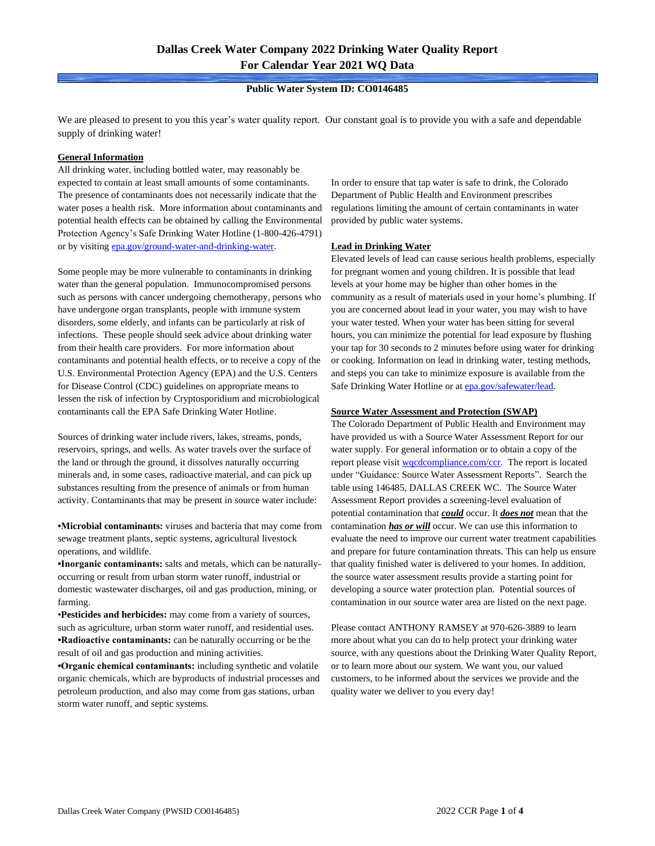### **Public Water System ID: CO0146485**

We are pleased to present to you this year's water quality report. Our constant goal is to provide you with a safe and dependable supply of drinking water!

#### **General Information**

All drinking water, including bottled water, may reasonably be expected to contain at least small amounts of some contaminants. The presence of contaminants does not necessarily indicate that the water poses a health risk. More information about contaminants and potential health effects can be obtained by calling the Environmental Protection Agency's Safe Drinking Water Hotline (1-800-426-4791) or by visiting [epa.gov/ground-water-and-drinking-water.](https://www.epa.gov/ground-water-and-drinking-water)

Some people may be more vulnerable to contaminants in drinking water than the general population. Immunocompromised persons such as persons with cancer undergoing chemotherapy, persons who have undergone organ transplants, people with immune system disorders, some elderly, and infants can be particularly at risk of infections. These people should seek advice about drinking water from their health care providers. For more information about contaminants and potential health effects, or to receive a copy of the U.S. Environmental Protection Agency (EPA) and the U.S. Centers for Disease Control (CDC) guidelines on appropriate means to lessen the risk of infection by Cryptosporidium and microbiological contaminants call the EPA Safe Drinking Water Hotline.

Sources of drinking water include rivers, lakes, streams, ponds, reservoirs, springs, and wells. As water travels over the surface of the land or through the ground, it dissolves naturally occurring minerals and, in some cases, radioactive material, and can pick up substances resulting from the presence of animals or from human activity. Contaminants that may be present in source water include:

**•Microbial contaminants:** viruses and bacteria that may come from sewage treatment plants, septic systems, agricultural livestock operations, and wildlife.

**•Inorganic contaminants:** salts and metals, which can be naturallyoccurring or result from urban storm water runoff, industrial or domestic wastewater discharges, oil and gas production, mining, or farming.

•**Pesticides and herbicides:** may come from a variety of sources, such as agriculture, urban storm water runoff, and residential uses. **•Radioactive contaminants:** can be naturally occurring or be the result of oil and gas production and mining activities.

**•Organic chemical contaminants:** including synthetic and volatile organic chemicals, which are byproducts of industrial processes and petroleum production, and also may come from gas stations, urban storm water runoff, and septic systems.

In order to ensure that tap water is safe to drink, the Colorado Department of Public Health and Environment prescribes regulations limiting the amount of certain contaminants in water provided by public water systems.

### **Lead in Drinking Water**

Elevated levels of lead can cause serious health problems, especially for pregnant women and young children. It is possible that lead levels at your home may be higher than other homes in the community as a result of materials used in your home's plumbing. If you are concerned about lead in your water, you may wish to have your water tested. When your water has been sitting for several hours, you can minimize the potential for lead exposure by flushing your tap for 30 seconds to 2 minutes before using water for drinking or cooking. Information on lead in drinking water, testing methods, and steps you can take to minimize exposure is available from the Safe Drinking Water Hotline or at **epa.gov/safewater/lead**.

### **Source Water Assessment and Protection (SWAP)**

The Colorado Department of Public Health and Environment may have provided us with a Source Water Assessment Report for our water supply. For general information or to obtain a copy of the report please visit [wqcdcompliance.com/ccr.](https://wqcdcompliance.com/ccr) The report is located under "Guidance: Source Water Assessment Reports". Search the table using 146485, DALLAS CREEK WC. The Source Water Assessment Report provides a screening-level evaluation of potential contamination that *could* occur. It *does not* mean that the contamination *has or will* occur. We can use this information to evaluate the need to improve our current water treatment capabilities and prepare for future contamination threats. This can help us ensure that quality finished water is delivered to your homes. In addition, the source water assessment results provide a starting point for developing a source water protection plan. Potential sources of contamination in our source water area are listed on the next page.

Please contact ANTHONY RAMSEY at 970-626-3889 to learn more about what you can do to help protect your drinking water source, with any questions about the Drinking Water Quality Report, or to learn more about our system. We want you, our valued customers, to be informed about the services we provide and the quality water we deliver to you every day!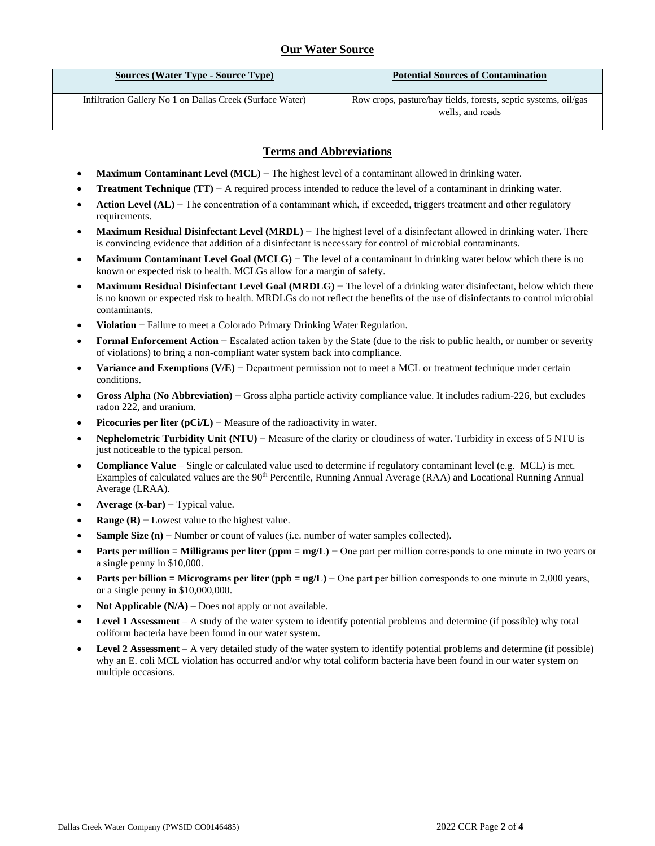# **Our Water Source**

| <b>Sources (Water Type - Source Type)</b>                 | <b>Potential Sources of Contamination</b>                                           |
|-----------------------------------------------------------|-------------------------------------------------------------------------------------|
| Infiltration Gallery No 1 on Dallas Creek (Surface Water) | Row crops, pasture/hay fields, forests, septic systems, oil/gas<br>wells, and roads |

### **Terms and Abbreviations**

- **Maximum Contaminant Level (MCL)** − The highest level of a contaminant allowed in drinking water.
- **Treatment Technique (TT)**  $A$  required process intended to reduce the level of a contaminant in drinking water.
- **Action Level (AL)** − The concentration of a contaminant which, if exceeded, triggers treatment and other regulatory requirements.
- **Maximum Residual Disinfectant Level (MRDL)** − The highest level of a disinfectant allowed in drinking water. There is convincing evidence that addition of a disinfectant is necessary for control of microbial contaminants.
- **Maximum Contaminant Level Goal (MCLG)** − The level of a contaminant in drinking water below which there is no known or expected risk to health. MCLGs allow for a margin of safety.
- **Maximum Residual Disinfectant Level Goal (MRDLG)** − The level of a drinking water disinfectant, below which there is no known or expected risk to health. MRDLGs do not reflect the benefits of the use of disinfectants to control microbial contaminants.
- **Violation** − Failure to meet a Colorado Primary Drinking Water Regulation.
- **Formal Enforcement Action** − Escalated action taken by the State (due to the risk to public health, or number or severity of violations) to bring a non-compliant water system back into compliance.
- **Variance and Exemptions (V/E)** − Department permission not to meet a MCL or treatment technique under certain conditions.
- **Gross Alpha (No Abbreviation)** − Gross alpha particle activity compliance value. It includes radium-226, but excludes radon 222, and uranium.
- **Picocuries per liter (pCi/L)** − Measure of the radioactivity in water.
- **Nephelometric Turbidity Unit (NTU)** − Measure of the clarity or cloudiness of water. Turbidity in excess of 5 NTU is just noticeable to the typical person.
- **Compliance Value** Single or calculated value used to determine if regulatory contaminant level (e.g. MCL) is met. Examples of calculated values are the 90<sup>th</sup> Percentile, Running Annual Average (RAA) and Locational Running Annual Average (LRAA).
- **Average (x-bar)** − Typical value.
- **Range (R)**  $-$  Lowest value to the highest value.
- **Sample Size (n)** − Number or count of values (i.e. number of water samples collected).
- **Parts per million = Milligrams per liter (ppm = mg/L)** − One part per million corresponds to one minute in two years or a single penny in \$10,000.
- **Parts per billion = Micrograms per liter (ppb = ug/L)** − One part per billion corresponds to one minute in 2,000 years, or a single penny in \$10,000,000.
- **Not Applicable**  $(N/A)$  Does not apply or not available.
- **Level 1 Assessment** A study of the water system to identify potential problems and determine (if possible) why total coliform bacteria have been found in our water system.
- **Level 2 Assessment** A very detailed study of the water system to identify potential problems and determine (if possible) why an E. coli MCL violation has occurred and/or why total coliform bacteria have been found in our water system on multiple occasions.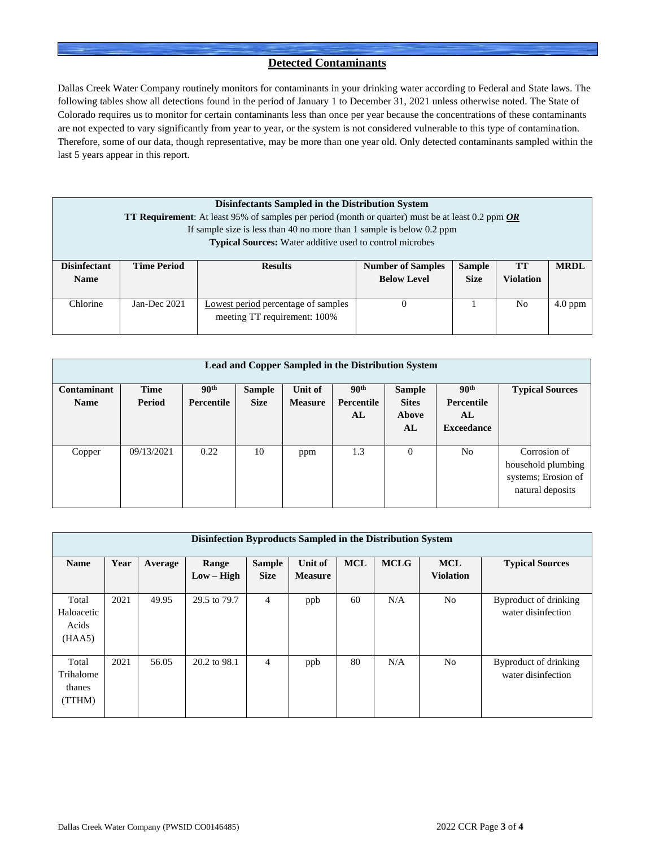### **Detected Contaminants**

Dallas Creek Water Company routinely monitors for contaminants in your drinking water according to Federal and State laws. The following tables show all detections found in the period of January 1 to December 31, 2021 unless otherwise noted. The State of Colorado requires us to monitor for certain contaminants less than once per year because the concentrations of these contaminants are not expected to vary significantly from year to year, or the system is not considered vulnerable to this type of contamination. Therefore, some of our data, though representative, may be more than one year old. Only detected contaminants sampled within the last 5 years appear in this report.

| Disinfectants Sampled in the Distribution System<br><b>TT Requirement:</b> At least 95% of samples per period (month or quarter) must be at least 0.2 ppm $OR$ |                                                                       |                                                                 |                          |               |    |             |  |  |  |  |
|----------------------------------------------------------------------------------------------------------------------------------------------------------------|-----------------------------------------------------------------------|-----------------------------------------------------------------|--------------------------|---------------|----|-------------|--|--|--|--|
|                                                                                                                                                                | If sample size is less than 40 no more than 1 sample is below 0.2 ppm |                                                                 |                          |               |    |             |  |  |  |  |
|                                                                                                                                                                |                                                                       | <b>Typical Sources:</b> Water additive used to control microbes |                          |               |    |             |  |  |  |  |
|                                                                                                                                                                |                                                                       |                                                                 |                          |               |    |             |  |  |  |  |
| <b>Disinfectant</b>                                                                                                                                            | <b>Time Period</b>                                                    | <b>Results</b>                                                  | <b>Number of Samples</b> | <b>Sample</b> | TT | <b>MRDL</b> |  |  |  |  |
| <b>Name</b>                                                                                                                                                    | <b>Below Level</b><br><b>Size</b><br><b>Violation</b>                 |                                                                 |                          |               |    |             |  |  |  |  |
|                                                                                                                                                                |                                                                       |                                                                 |                          |               |    |             |  |  |  |  |
| Chlorine                                                                                                                                                       | Jan-Dec 2021                                                          | Lowest period percentage of samples                             |                          |               | No | $4.0$ ppm   |  |  |  |  |
|                                                                                                                                                                | meeting TT requirement: 100%                                          |                                                                 |                          |               |    |             |  |  |  |  |
|                                                                                                                                                                |                                                                       |                                                                 |                          |               |    |             |  |  |  |  |

| <b>Lead and Copper Sampled in the Distribution System</b> |                |                                       |                              |                           |                                      |                                              |                                                           |                                                                               |  |  |
|-----------------------------------------------------------|----------------|---------------------------------------|------------------------------|---------------------------|--------------------------------------|----------------------------------------------|-----------------------------------------------------------|-------------------------------------------------------------------------------|--|--|
| Contaminant<br><b>Name</b>                                | Time<br>Period | 90 <sup>th</sup><br><b>Percentile</b> | <b>Sample</b><br><b>Size</b> | Unit of<br><b>Measure</b> | 90 <sup>th</sup><br>Percentile<br>AL | <b>Sample</b><br><b>Sites</b><br>Above<br>AL | 90 <sup>th</sup><br>Percentile<br>AL<br><b>Exceedance</b> | <b>Typical Sources</b>                                                        |  |  |
| Copper                                                    | 09/13/2021     | 0.22                                  | 10                           | ppm                       | 1.3                                  | $\Omega$                                     | N <sub>0</sub>                                            | Corrosion of<br>household plumbing<br>systems; Erosion of<br>natural deposits |  |  |

| Disinfection Byproducts Sampled in the Distribution System |      |         |                       |                              |                           |            |             |                                |                                             |
|------------------------------------------------------------|------|---------|-----------------------|------------------------------|---------------------------|------------|-------------|--------------------------------|---------------------------------------------|
| <b>Name</b>                                                | Year | Average | Range<br>$Low - High$ | <b>Sample</b><br><b>Size</b> | Unit of<br><b>Measure</b> | <b>MCL</b> | <b>MCLG</b> | <b>MCL</b><br><b>Violation</b> | <b>Typical Sources</b>                      |
| Total<br>Haloacetic<br>Acids<br>(HAA5)                     | 2021 | 49.95   | 29.5 to 79.7          | $\overline{4}$               | ppb                       | 60         | N/A         | N <sub>o</sub>                 | Byproduct of drinking<br>water disinfection |
| Total<br>Trihalome<br>thanes<br>(TTHM)                     | 2021 | 56.05   | 20.2 to 98.1          | $\overline{4}$               | ppb                       | 80         | N/A         | N <sub>o</sub>                 | Byproduct of drinking<br>water disinfection |